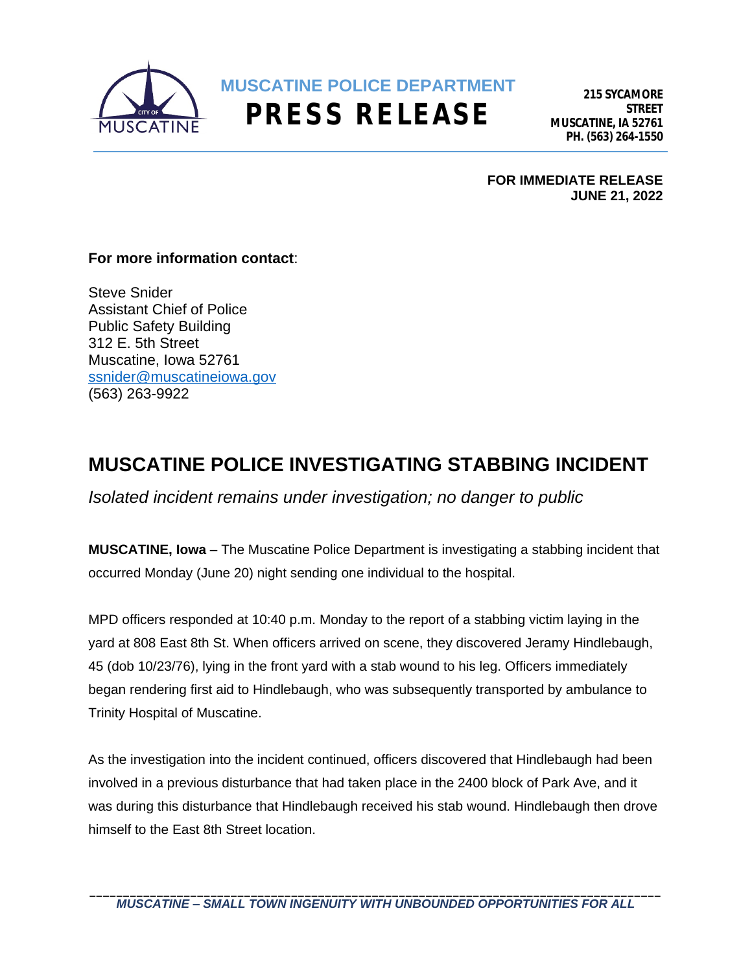

**215 SYCAMORE STREET MUSCATINE, IA 52761 PH. (563) 264-1550**

**FOR IMMEDIATE RELEASE JUNE 21, 2022**

## **For more information contact**:

Steve Snider Assistant Chief of Police Public Safety Building 312 E. 5th Street Muscatine, Iowa 52761 [ssnider@muscatineiowa.gov](mailto:ssnider@muscatineiowa.gov) (563) 263-9922

## **MUSCATINE POLICE INVESTIGATING STABBING INCIDENT**

*Isolated incident remains under investigation; no danger to public*

**MUSCATINE, Iowa** – The Muscatine Police Department is investigating a stabbing incident that occurred Monday (June 20) night sending one individual to the hospital.

MPD officers responded at 10:40 p.m. Monday to the report of a stabbing victim laying in the yard at 808 East 8th St. When officers arrived on scene, they discovered Jeramy Hindlebaugh, 45 (dob 10/23/76), lying in the front yard with a stab wound to his leg. Officers immediately began rendering first aid to Hindlebaugh, who was subsequently transported by ambulance to Trinity Hospital of Muscatine.

As the investigation into the incident continued, officers discovered that Hindlebaugh had been involved in a previous disturbance that had taken place in the 2400 block of Park Ave, and it was during this disturbance that Hindlebaugh received his stab wound. Hindlebaugh then drove himself to the East 8th Street location.